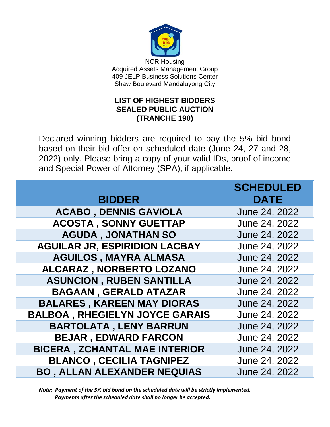

NCR Housing Acquired Assets Management Group 409 JELP Business Solutions Center Shaw Boulevard Mandaluyong City

## **LIST OF HIGHEST BIDDERS SEALED PUBLIC AUCTION (TRANCHE 190)**

Declared winning bidders are required to pay the 5% bid bond based on their bid offer on scheduled date (June 24, 27 and 28, 2022) only. Please bring a copy of your valid IDs, proof of income and Special Power of Attorney (SPA), if applicable.

| <b>BIDDER</b>                         | <b>SCHEDULED</b><br><b>DATE</b> |
|---------------------------------------|---------------------------------|
| <b>ACABO, DENNIS GAVIOLA</b>          | June 24, 2022                   |
| <b>ACOSTA , SONNY GUETTAP</b>         | June 24, 2022                   |
| <b>AGUDA, JONATHAN SO</b>             | June 24, 2022                   |
| <b>AGUILAR JR, ESPIRIDION LACBAY</b>  | June 24, 2022                   |
| <b>AGUILOS, MAYRA ALMASA</b>          | June 24, 2022                   |
| ALCARAZ, NORBERTO LOZANO              | June 24, 2022                   |
| <b>ASUNCION, RUBEN SANTILLA</b>       | June 24, 2022                   |
| <b>BAGAAN, GERALD ATAZAR</b>          | June 24, 2022                   |
| <b>BALARES, KAREEN MAY DIORAS</b>     | June 24, 2022                   |
| <b>BALBOA, RHEGIELYN JOYCE GARAIS</b> | June 24, 2022                   |
| <b>BARTOLATA, LENY BARRUN</b>         | June 24, 2022                   |
| <b>BEJAR, EDWARD FARCON</b>           | June 24, 2022                   |
| <b>BICERA, ZCHANTAL MAE INTERIOR</b>  | June 24, 2022                   |
| <b>BLANCO, CECILIA TAGNIPEZ</b>       | June 24, 2022                   |
| <b>BO, ALLAN ALEXANDER NEQUIAS</b>    | June 24, 2022                   |

*Note: Payment of the 5% bid bond on the scheduled date will be strictly implemented. Payments after the scheduled date shall no longer be accepted.*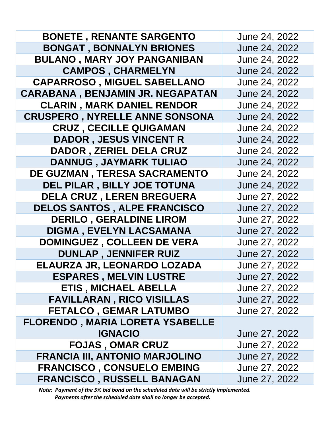| <b>BONETE, RENANTE SARGENTO</b>         | June 24, 2022 |
|-----------------------------------------|---------------|
| <b>BONGAT, BONNALYN BRIONES</b>         | June 24, 2022 |
| <b>BULANO, MARY JOY PANGANIBAN</b>      | June 24, 2022 |
| <b>CAMPOS, CHARMELYN</b>                | June 24, 2022 |
| <b>CAPARROSO, MIGUEL SABELLANO</b>      | June 24, 2022 |
| <b>CARABANA, BENJAMIN JR. NEGAPATAN</b> | June 24, 2022 |
| <b>CLARIN, MARK DANIEL RENDOR</b>       | June 24, 2022 |
| <b>CRUSPERO, NYRELLE ANNE SONSONA</b>   | June 24, 2022 |
| <b>CRUZ, CECILLE QUIGAMAN</b>           | June 24, 2022 |
| <b>DADOR, JESUS VINCENT R</b>           | June 24, 2022 |
| <b>DADOR, ZERIEL DELA CRUZ</b>          | June 24, 2022 |
| <b>DANNUG, JAYMARK TULIAO</b>           | June 24, 2022 |
| DE GUZMAN, TERESA SACRAMENTO            | June 24, 2022 |
| <b>DEL PILAR, BILLY JOE TOTUNA</b>      | June 24, 2022 |
| <b>DELA CRUZ, LEREN BREGUERA</b>        | June 27, 2022 |
| <b>DELOS SANTOS, ALPE FRANCISCO</b>     | June 27, 2022 |
| <b>DERILO, GERALDINE LIROM</b>          | June 27, 2022 |
| <b>DIGMA, EVELYN LACSAMANA</b>          | June 27, 2022 |
| <b>DOMINGUEZ, COLLEEN DE VERA</b>       | June 27, 2022 |
| <b>DUNLAP, JENNIFER RUIZ</b>            | June 27, 2022 |
| ELAURZA JR, LEONARDO LOZADA             | June 27, 2022 |
| <b>ESPARES, MELVIN LUSTRE</b>           | June 27, 2022 |
| <b>ETIS, MICHAEL ABELLA</b>             | June 27, 2022 |
| <b>FAVILLARAN, RICO VISILLAS</b>        | June 27, 2022 |
| <b>FETALCO, GEMAR LATUMBO</b>           | June 27, 2022 |
| <b>FLORENDO, MARIA LORETA YSABELLE</b>  |               |
| <b>IGNACIO</b>                          | June 27, 2022 |
| <b>FOJAS, OMAR CRUZ</b>                 | June 27, 2022 |
| <b>FRANCIA III, ANTONIO MARJOLINO</b>   | June 27, 2022 |
| <b>FRANCISCO, CONSUELO EMBING</b>       | June 27, 2022 |
| <b>FRANCISCO, RUSSELL BANAGAN</b>       | June 27, 2022 |

*Note: Payment of the 5% bid bond on the scheduled date will be strictly implemented. Payments after the scheduled date shall no longer be accepted.*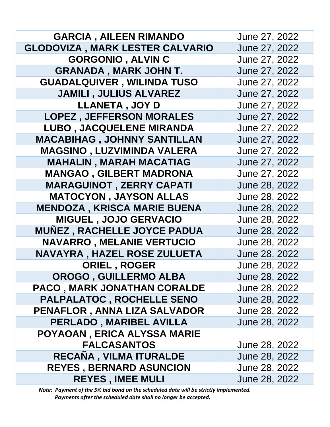| <b>GARCIA, AILEEN RIMANDO</b>          | June 27, 2022 |
|----------------------------------------|---------------|
| <b>GLODOVIZA, MARK LESTER CALVARIO</b> | June 27, 2022 |
| <b>GORGONIO, ALVIN C</b>               | June 27, 2022 |
| <b>GRANADA, MARK JOHN T.</b>           | June 27, 2022 |
| <b>GUADALQUIVER, WILINDA TUSO</b>      | June 27, 2022 |
| <b>JAMILI, JULIUS ALVAREZ</b>          | June 27, 2022 |
| <b>LLANETA, JOY D</b>                  | June 27, 2022 |
| <b>LOPEZ, JEFFERSON MORALES</b>        | June 27, 2022 |
| <b>LUBO, JACQUELENE MIRANDA</b>        | June 27, 2022 |
| <b>MACABIHAG, JOHNNY SANTILLAN</b>     | June 27, 2022 |
| <b>MAGSINO, LUZVIMINDA VALERA</b>      | June 27, 2022 |
| <b>MAHALIN, MARAH MACATIAG</b>         | June 27, 2022 |
| <b>MANGAO, GILBERT MADRONA</b>         | June 27, 2022 |
| <b>MARAGUINOT, ZERRY CAPATI</b>        | June 28, 2022 |
| <b>MATOCYON, JAYSON ALLAS</b>          | June 28, 2022 |
| <b>MENDOZA, KRISCA MARIE BUENA</b>     | June 28, 2022 |
| <b>MIGUEL, JOJO GERVACIO</b>           | June 28, 2022 |
| <b>MUÑEZ, RACHELLE JOYCE PADUA</b>     | June 28, 2022 |
| <b>NAVARRO, MELANIE VERTUCIO</b>       | June 28, 2022 |
| <b>NAVAYRA, HAZEL ROSE ZULUETA</b>     | June 28, 2022 |
| <b>ORIEL, ROGER</b>                    | June 28, 2022 |
| OROGO, GUILLERMO ALBA                  | June 28, 2022 |
| <b>PACO, MARK JONATHAN CORALDE</b>     | June 28, 2022 |
| <b>PALPALATOC, ROCHELLE SENO</b>       | June 28, 2022 |
| PENAFLOR, ANNA LIZA SALVADOR           | June 28, 2022 |
| <b>PERLADO, MARIBEL AVILLA</b>         | June 28, 2022 |
| POYAOAN, ERICA ALYSSA MARIE            |               |
| <b>FALCASANTOS</b>                     | June 28, 2022 |
| <b>RECANA, VILMA ITURALDE</b>          | June 28, 2022 |
| <b>REYES, BERNARD ASUNCION</b>         | June 28, 2022 |
| <b>REYES, IMEE MULI</b>                | June 28, 2022 |

*Note: Payment of the 5% bid bond on the scheduled date will be strictly implemented. Payments after the scheduled date shall no longer be accepted.*